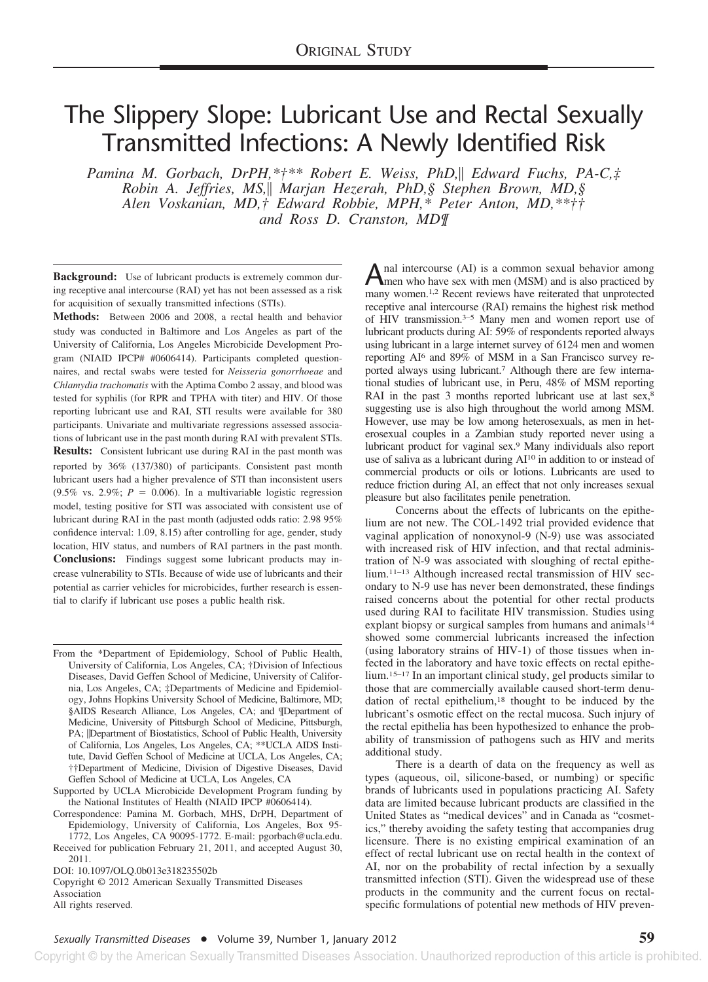# The Slippery Slope: Lubricant Use and Rectal Sexually Transmitted Infections: A Newly Identified Risk

*Pamina M. Gorbach, DrPH,\*†\*\* Robert E. Weiss, PhD,|| Edward Fuchs, PA-C,‡ Robin A. Jeffries, MS, Marjan Hezerah, PhD,§ Stephen Brown, MD,§ Alen Voskanian, MD,† Edward Robbie, MPH,\* Peter Anton, MD,\*\*†† and Ross D. Cranston, MD¶*

**Background:** Use of lubricant products is extremely common during receptive anal intercourse (RAI) yet has not been assessed as a risk for acquisition of sexually transmitted infections (STIs).

**Methods:** Between 2006 and 2008, a rectal health and behavior study was conducted in Baltimore and Los Angeles as part of the University of California, Los Angeles Microbicide Development Program (NIAID IPCP# #0606414). Participants completed questionnaires, and rectal swabs were tested for *Neisseria gonorrhoeae* and *Chlamydia trachomatis* with the Aptima Combo 2 assay, and blood was tested for syphilis (for RPR and TPHA with titer) and HIV. Of those reporting lubricant use and RAI, STI results were available for 380 participants. Univariate and multivariate regressions assessed associations of lubricant use in the past month during RAI with prevalent STIs. **Results:** Consistent lubricant use during RAI in the past month was reported by 36% (137/380) of participants. Consistent past month lubricant users had a higher prevalence of STI than inconsistent users (9.5% vs. 2.9%;  $P = 0.006$ ). In a multivariable logistic regression model, testing positive for STI was associated with consistent use of lubricant during RAI in the past month (adjusted odds ratio: 2.98 95% confidence interval: 1.09, 8.15) after controlling for age, gender, study location, HIV status, and numbers of RAI partners in the past month. **Conclusions:** Findings suggest some lubricant products may increase vulnerability to STIs. Because of wide use of lubricants and their potential as carrier vehicles for microbicides, further research is essential to clarify if lubricant use poses a public health risk.

From the \*Department of Epidemiology, School of Public Health, University of California, Los Angeles, CA; †Division of Infectious Diseases, David Geffen School of Medicine, University of California, Los Angeles, CA; ‡Departments of Medicine and Epidemiology, Johns Hopkins University School of Medicine, Baltimore, MD; §AIDS Research Alliance, Los Angeles, CA; and ¶Department of Medicine, University of Pittsburgh School of Medicine, Pittsburgh, PA; *Department of Biostatistics*, School of Public Health, University of California, Los Angeles, Los Angeles, CA; \*\*UCLA AIDS Institute, David Geffen School of Medicine at UCLA, Los Angeles, CA; ††Department of Medicine, Division of Digestive Diseases, David Geffen School of Medicine at UCLA, Los Angeles, CA

Supported by UCLA Microbicide Development Program funding by the National Institutes of Health (NIAID IPCP #0606414).

Correspondence: Pamina M. Gorbach, MHS, DrPH, Department of Epidemiology, University of California, Los Angeles, Box 95-

1772, Los Angeles, CA 90095-1772. E-mail: pgorbach@ucla.edu. Received for publication February 21, 2011, and accepted August 30, 2011.

DOI: 10.1097/OLQ.0b013e318235502b

Copyright © 2012 American Sexually Transmitted Diseases Association All rights reserved.

Anal intercourse (AI) is a common sexual behavior among<br>men who have sex with men (MSM) and is also practiced by many women.<sup>1,2</sup> Recent reviews have reiterated that unprotected receptive anal intercourse (RAI) remains the highest risk method of HIV transmission.3–5 Many men and women report use of lubricant products during AI: 59% of respondents reported always using lubricant in a large internet survey of 6124 men and women reporting AI6 and 89% of MSM in a San Francisco survey reported always using lubricant.7 Although there are few international studies of lubricant use, in Peru, 48% of MSM reporting RAI in the past 3 months reported lubricant use at last sex,<sup>8</sup> suggesting use is also high throughout the world among MSM. However, use may be low among heterosexuals, as men in heterosexual couples in a Zambian study reported never using a lubricant product for vaginal sex.9 Many individuals also report use of saliva as a lubricant during AI10 in addition to or instead of commercial products or oils or lotions. Lubricants are used to reduce friction during AI, an effect that not only increases sexual pleasure but also facilitates penile penetration.

Concerns about the effects of lubricants on the epithelium are not new. The COL-1492 trial provided evidence that vaginal application of nonoxynol-9 (N-9) use was associated with increased risk of HIV infection, and that rectal administration of N-9 was associated with sloughing of rectal epithelium.11–13 Although increased rectal transmission of HIV secondary to N-9 use has never been demonstrated, these findings raised concerns about the potential for other rectal products used during RAI to facilitate HIV transmission. Studies using explant biopsy or surgical samples from humans and animals<sup>14</sup> showed some commercial lubricants increased the infection (using laboratory strains of HIV-1) of those tissues when infected in the laboratory and have toxic effects on rectal epithelium.15–17 In an important clinical study, gel products similar to those that are commercially available caused short-term denudation of rectal epithelium,<sup>18</sup> thought to be induced by the lubricant's osmotic effect on the rectal mucosa. Such injury of the rectal epithelia has been hypothesized to enhance the probability of transmission of pathogens such as HIV and merits additional study.

There is a dearth of data on the frequency as well as types (aqueous, oil, silicone-based, or numbing) or specific brands of lubricants used in populations practicing AI. Safety data are limited because lubricant products are classified in the United States as "medical devices" and in Canada as "cosmetics," thereby avoiding the safety testing that accompanies drug licensure. There is no existing empirical examination of an effect of rectal lubricant use on rectal health in the context of AI, nor on the probability of rectal infection by a sexually transmitted infection (STI). Given the widespread use of these products in the community and the current focus on rectalspecific formulations of potential new methods of HIV preven-

Copyright © by the American Sexually Transmitted Diseases Association. Unauthorized reproduction of this article is prohibited.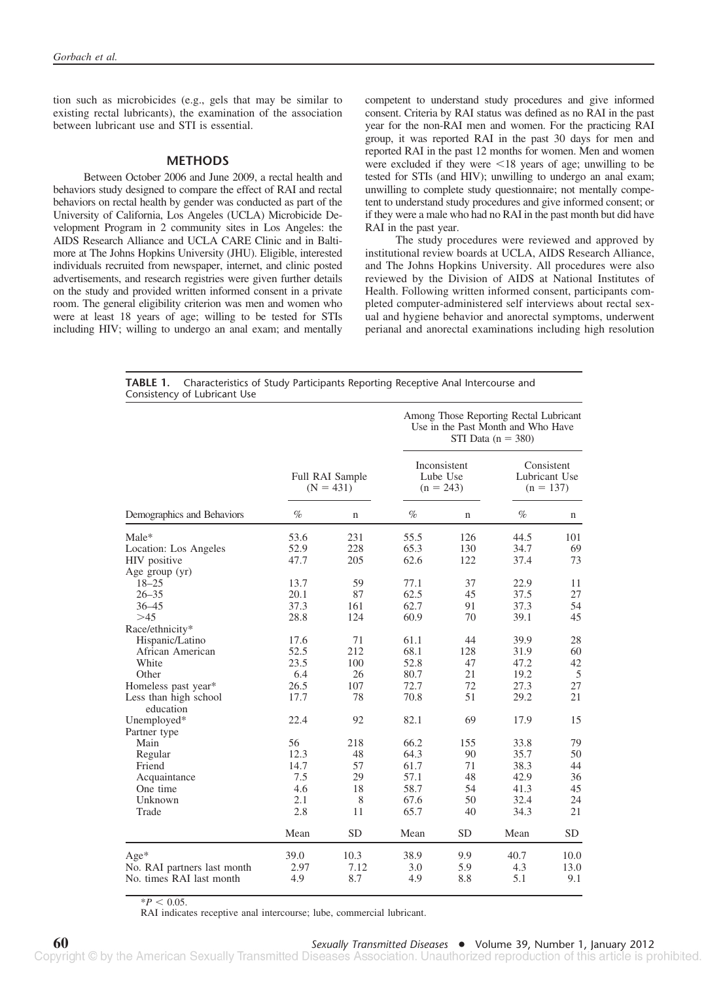tion such as microbicides (e.g., gels that may be similar to existing rectal lubricants), the examination of the association between lubricant use and STI is essential.

### **METHODS**

Between October 2006 and June 2009, a rectal health and behaviors study designed to compare the effect of RAI and rectal behaviors on rectal health by gender was conducted as part of the University of California, Los Angeles (UCLA) Microbicide Development Program in 2 community sites in Los Angeles: the AIDS Research Alliance and UCLA CARE Clinic and in Baltimore at The Johns Hopkins University (JHU). Eligible, interested individuals recruited from newspaper, internet, and clinic posted advertisements, and research registries were given further details on the study and provided written informed consent in a private room. The general eligibility criterion was men and women who were at least 18 years of age; willing to be tested for STIs including HIV; willing to undergo an anal exam; and mentally

competent to understand study procedures and give informed consent. Criteria by RAI status was defined as no RAI in the past year for the non-RAI men and women. For the practicing RAI group, it was reported RAI in the past 30 days for men and reported RAI in the past 12 months for women. Men and women were excluded if they were  $\leq 18$  years of age; unwilling to be tested for STIs (and HIV); unwilling to undergo an anal exam; unwilling to complete study questionnaire; not mentally competent to understand study procedures and give informed consent; or if they were a male who had no RAI in the past month but did have RAI in the past year.

The study procedures were reviewed and approved by institutional review boards at UCLA, AIDS Research Alliance, and The Johns Hopkins University. All procedures were also reviewed by the Division of AIDS at National Institutes of Health. Following written informed consent, participants completed computer-administered self interviews about rectal sexual and hygiene behavior and anorectal symptoms, underwent perianal and anorectal examinations including high resolution

| <b>TABLE 1.</b> Characteristics of Study Participants Reporting Receptive Anal Intercourse and |
|------------------------------------------------------------------------------------------------|
| Consistency of Lubricant Use                                                                   |

|                             |                                |             | Among Those Reporting Rectal Lubricant<br>Use in the Past Month and Who Have<br>STI Data $(n = 380)$ |             |                                            |             |
|-----------------------------|--------------------------------|-------------|------------------------------------------------------------------------------------------------------|-------------|--------------------------------------------|-------------|
|                             | Full RAI Sample<br>$(N = 431)$ |             | Inconsistent<br>Lube Use<br>$(n = 243)$                                                              |             | Consistent<br>Lubricant Use<br>$(n = 137)$ |             |
| Demographics and Behaviors  | $\%$                           | $\mathbf n$ | $\%$                                                                                                 | $\mathbf n$ | $\%$                                       | $\mathbf n$ |
| Male*                       | 53.6                           | 231         | 55.5                                                                                                 | 126         | 44.5                                       | 101         |
| Location: Los Angeles       | 52.9                           | 228         | 65.3                                                                                                 | 130         | 34.7                                       | 69          |
| HIV positive                | 47.7                           | 205         | 62.6                                                                                                 | 122         | 37.4                                       | 73          |
| Age group (yr)              |                                |             |                                                                                                      |             |                                            |             |
| $18 - 25$                   | 13.7                           | 59          | 77.1                                                                                                 | 37          | 22.9                                       | 11          |
| $26 - 35$                   | 20.1                           | 87          | 62.5                                                                                                 | 45          | 37.5                                       | 27          |
| $36 - 45$                   | 37.3                           | 161         | 62.7                                                                                                 | 91          | 37.3                                       | 54          |
| >45                         | 28.8                           | 124         | 60.9                                                                                                 | 70          | 39.1                                       | 45          |
| Race/ethnicity*             |                                |             |                                                                                                      |             |                                            |             |
| Hispanic/Latino             | 17.6                           | 71          | 61.1                                                                                                 | 44          | 39.9                                       | 28          |
| African American            | 52.5                           | 212         | 68.1                                                                                                 | 128         | 31.9                                       | 60          |
| White                       | 23.5                           | 100         | 52.8                                                                                                 | 47          | 47.2                                       | 42          |
| Other                       | 6.4                            | 26          | 80.7                                                                                                 | 21          | 19.2                                       | 5           |
| Homeless past year*         | 26.5                           | 107         | 72.7                                                                                                 | 72          | 27.3                                       | 27          |
| Less than high school       | 17.7                           | 78          | 70.8                                                                                                 | 51          | 29.2                                       | 21          |
| education                   |                                |             |                                                                                                      |             |                                            |             |
| Unemployed*                 | 22.4                           | 92          | 82.1                                                                                                 | 69          | 17.9                                       | 15          |
| Partner type                |                                |             |                                                                                                      |             |                                            |             |
| Main                        | 56                             | 218         | 66.2                                                                                                 | 155         | 33.8                                       | 79          |
| Regular                     | 12.3                           | 48          | 64.3                                                                                                 | 90          | 35.7                                       | 50          |
| Friend                      | 14.7                           | 57          | 61.7                                                                                                 | 71          | 38.3                                       | 44          |
| Acquaintance                | 7.5                            | 29          | 57.1                                                                                                 | 48          | 42.9                                       | 36          |
| One time                    | 4.6                            | 18          | 58.7                                                                                                 | 54          | 41.3                                       | 45          |
| Unknown                     | 2.1                            | 8           | 67.6                                                                                                 | 50          | 32.4                                       | 24          |
| Trade                       | 2.8                            | 11          | 65.7                                                                                                 | 40          | 34.3                                       | 21          |
|                             |                                |             |                                                                                                      |             |                                            |             |
|                             | Mean                           | <b>SD</b>   | Mean                                                                                                 | <b>SD</b>   | Mean                                       | <b>SD</b>   |
| $Age*$                      | 39.0                           | 10.3        | 38.9                                                                                                 | 9.9         | 40.7                                       | 10.0        |
| No. RAI partners last month | 2.97                           | 7.12        | 3.0                                                                                                  | 5.9         | 4.3                                        | 13.0        |
| No. times RAI last month    | 4.9                            | 8.7         | 4.9                                                                                                  | 8.8         | 5.1                                        | 9.1         |
|                             |                                |             |                                                                                                      |             |                                            |             |

 $*P < 0.05$ .

RAI indicates receptive anal intercourse; lube, commercial lubricant.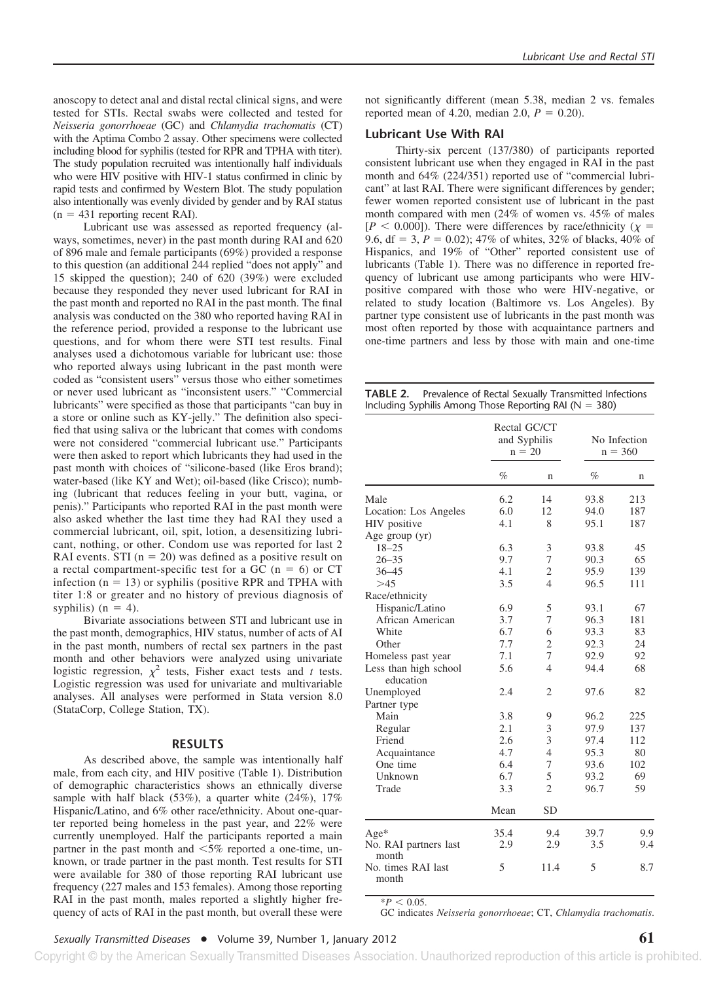anoscopy to detect anal and distal rectal clinical signs, and were tested for STIs. Rectal swabs were collected and tested for *Neisseria gonorrhoeae* (GC) and *Chlamydia trachomatis* (CT) with the Aptima Combo 2 assay. Other specimens were collected including blood for syphilis (tested for RPR and TPHA with titer). The study population recruited was intentionally half individuals who were HIV positive with HIV-1 status confirmed in clinic by rapid tests and confirmed by Western Blot. The study population also intentionally was evenly divided by gender and by RAI status  $(n = 431$  reporting recent RAI).

Lubricant use was assessed as reported frequency (always, sometimes, never) in the past month during RAI and 620 of 896 male and female participants (69%) provided a response to this question (an additional 244 replied "does not apply" and 15 skipped the question); 240 of 620 (39%) were excluded because they responded they never used lubricant for RAI in the past month and reported no RAI in the past month. The final analysis was conducted on the 380 who reported having RAI in the reference period, provided a response to the lubricant use questions, and for whom there were STI test results. Final analyses used a dichotomous variable for lubricant use: those who reported always using lubricant in the past month were coded as "consistent users" versus those who either sometimes or never used lubricant as "inconsistent users." "Commercial lubricants" were specified as those that participants "can buy in a store or online such as KY-jelly." The definition also specified that using saliva or the lubricant that comes with condoms were not considered "commercial lubricant use." Participants were then asked to report which lubricants they had used in the past month with choices of "silicone-based (like Eros brand); water-based (like KY and Wet); oil-based (like Crisco); numbing (lubricant that reduces feeling in your butt, vagina, or penis)." Participants who reported RAI in the past month were also asked whether the last time they had RAI they used a commercial lubricant, oil, spit, lotion, a desensitizing lubricant, nothing, or other. Condom use was reported for last 2 RAI events. STI ( $n = 20$ ) was defined as a positive result on a rectal compartment-specific test for a GC ( $n = 6$ ) or CT infection  $(n = 13)$  or syphilis (positive RPR and TPHA with titer 1:8 or greater and no history of previous diagnosis of syphilis) ( $n = 4$ ).

Bivariate associations between STI and lubricant use in the past month, demographics, HIV status, number of acts of AI in the past month, numbers of rectal sex partners in the past month and other behaviors were analyzed using univariate logistic regression,  $\chi^2$  tests, Fisher exact tests and *t* tests. Logistic regression was used for univariate and multivariable analyses. All analyses were performed in Stata version 8.0 (StataCorp, College Station, TX).

#### **RESULTS**

As described above, the sample was intentionally half male, from each city, and HIV positive (Table 1). Distribution of demographic characteristics shows an ethnically diverse sample with half black  $(53\%)$ , a quarter white  $(24\%)$ ,  $17\%$ Hispanic/Latino, and 6% other race/ethnicity. About one-quarter reported being homeless in the past year, and 22% were currently unemployed. Half the participants reported a main partner in the past month and  $\leq 5\%$  reported a one-time, unknown, or trade partner in the past month. Test results for STI were available for 380 of those reporting RAI lubricant use frequency (227 males and 153 females). Among those reporting RAI in the past month, males reported a slightly higher frequency of acts of RAI in the past month, but overall these were not significantly different (mean 5.38, median 2 vs. females reported mean of 4.20, median 2.0,  $P = 0.20$ ).

## **Lubricant Use With RAI**

Thirty-six percent (137/380) of participants reported consistent lubricant use when they engaged in RAI in the past month and 64% (224/351) reported use of "commercial lubricant" at last RAI. There were significant differences by gender; fewer women reported consistent use of lubricant in the past month compared with men (24% of women vs. 45% of males  $[P \leq 0.000]$ ). There were differences by race/ethnicity ( $\chi$  = 9.6, df = 3,  $P = 0.02$ ; 47% of whites, 32% of blacks, 40% of Hispanics, and 19% of "Other" reported consistent use of lubricants (Table 1). There was no difference in reported frequency of lubricant use among participants who were HIVpositive compared with those who were HIV-negative, or related to study location (Baltimore vs. Los Angeles). By partner type consistent use of lubricants in the past month was most often reported by those with acquaintance partners and one-time partners and less by those with main and one-time

**TABLE 2.** Prevalence of Rectal Sexually Transmitted Infections Including Syphilis Among Those Reporting RAI ( $N = 380$ )

|                                    |      | Rectal GC/CT<br>and Syphilis<br>$n = 20$ |      | No Infection<br>$n = 360$ |
|------------------------------------|------|------------------------------------------|------|---------------------------|
|                                    | $\%$ | n                                        | $\%$ | n                         |
| Male                               | 6.2  | 14                                       | 93.8 | 213                       |
| Location: Los Angeles              | 6.0  | 12                                       | 94.0 | 187                       |
| HIV positive                       | 4.1  | 8                                        | 95.1 | 187                       |
| Age group (yr)                     |      |                                          |      |                           |
| $18 - 25$                          | 6.3  | 3                                        | 93.8 | 45                        |
| $26 - 35$                          | 9.7  | 7                                        | 90.3 | 65                        |
| $36 - 45$                          | 4.1  | $\overline{2}$                           | 95.9 | 139                       |
| >45                                | 3.5  | $\overline{4}$                           | 96.5 | 111                       |
| Race/ethnicity                     |      |                                          |      |                           |
| Hispanic/Latino                    | 6.9  | 5                                        | 93.1 | 67                        |
| African American                   | 3.7  | 7                                        | 96.3 | 181                       |
| White                              | 6.7  | 6                                        | 93.3 | 83                        |
| Other                              | 7.7  | $\overline{2}$                           | 92.3 | 24                        |
| Homeless past year                 | 7.1  | 7                                        | 92.9 | 92                        |
| Less than high school<br>education | 5.6  | $\overline{4}$                           | 94.4 | 68                        |
| Unemployed                         | 2.4  | $\overline{2}$                           | 97.6 | 82                        |
| Partner type                       |      |                                          |      |                           |
| Main                               | 3.8  | 9                                        | 96.2 | 225                       |
| Regular                            | 2.1  | 3                                        | 97.9 | 137                       |
| Friend                             | 2.6  | 3                                        | 97.4 | 112                       |
| Acquaintance                       | 4.7  | $\overline{4}$                           | 95.3 | 80                        |
| One time                           | 6.4  | 7                                        | 93.6 | 102                       |
| Unknown                            | 6.7  | 5                                        | 93.2 | 69                        |
| Trade                              | 3.3  | $\overline{2}$                           | 96.7 | 59                        |
|                                    | Mean | <b>SD</b>                                |      |                           |
| $Age*$                             | 35.4 | 9.4                                      | 39.7 | 9.9                       |
| No. RAI partners last<br>month     | 2.9  | 2.9                                      | 3.5  | 9.4                       |
| No. times RAI last<br>month        | 5    | 11.4                                     | 5    | 8.7                       |

 $*P < 0.05$ . GC indicates *Neisseria gonorrhoeae*; CT, *Chlamydia trachomatis*.

## *Sexually Transmitted Diseases* ● Volume 39, Number 1, January 2012 **61**

Copyright © by the American Sexually Transmitted Diseases Association. Unauthorized reproduction of this article is prohibited.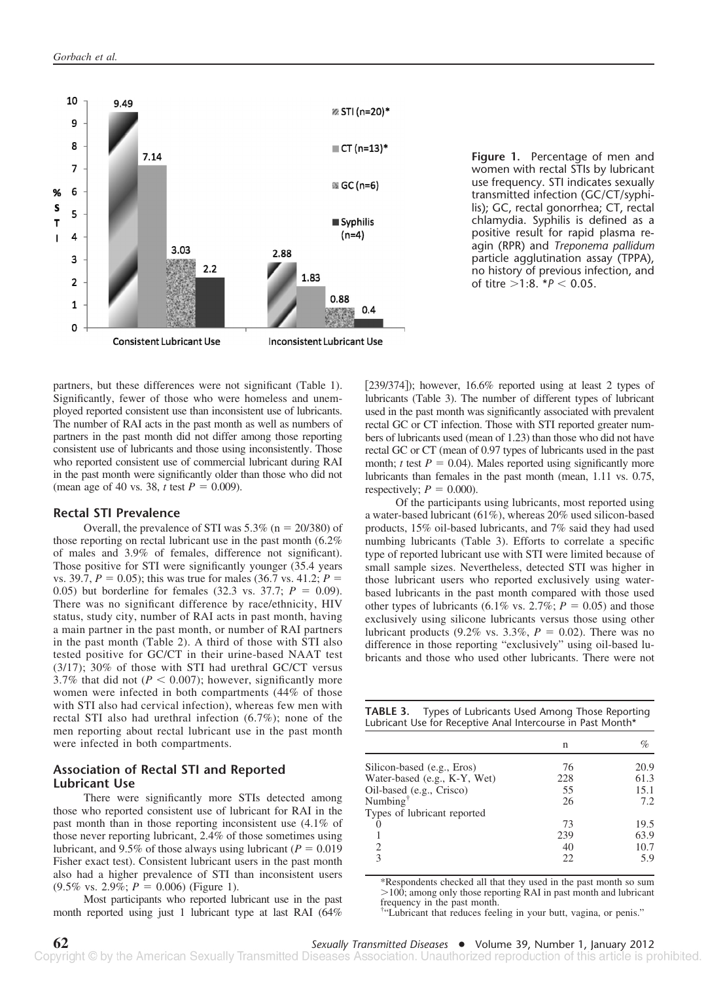

**Figure 1.** Percentage of men and women with rectal STIs by lubricant use frequency. STI indicates sexually transmitted infection (GC/CT/syphilis); GC, rectal gonorrhea; CT, rectal chlamydia. Syphilis is defined as a positive result for rapid plasma reagin (RPR) and *Treponema pallidum* particle agglutination assay (TPPA), no history of previous infection, and of titre >1:8. *\*P* < 0.05.

partners, but these differences were not significant (Table 1). Significantly, fewer of those who were homeless and unemployed reported consistent use than inconsistent use of lubricants. The number of RAI acts in the past month as well as numbers of partners in the past month did not differ among those reporting consistent use of lubricants and those using inconsistently. Those who reported consistent use of commercial lubricant during RAI in the past month were significantly older than those who did not (mean age of 40 vs. 38, *t* test  $P = 0.009$ ).

## **Rectal STI Prevalence**

Overall, the prevalence of STI was  $5.3\%$  (n = 20/380) of those reporting on rectal lubricant use in the past month (6.2% of males and 3.9% of females, difference not significant). Those positive for STI were significantly younger (35.4 years vs. 39.7,  $P = 0.05$ ; this was true for males (36.7 vs. 41.2;  $P =$ 0.05) but borderline for females (32.3 vs. 37.7;  $P = 0.09$ ). There was no significant difference by race/ethnicity, HIV status, study city, number of RAI acts in past month, having a main partner in the past month, or number of RAI partners in the past month (Table 2). A third of those with STI also tested positive for GC/CT in their urine-based NAAT test (3/17); 30% of those with STI had urethral GC/CT versus 3.7% that did not ( $P < 0.007$ ); however, significantly more women were infected in both compartments (44% of those with STI also had cervical infection), whereas few men with rectal STI also had urethral infection (6.7%); none of the men reporting about rectal lubricant use in the past month were infected in both compartments.

## **Association of Rectal STI and Reported Lubricant Use**

There were significantly more STIs detected among those who reported consistent use of lubricant for RAI in the past month than in those reporting inconsistent use (4.1% of those never reporting lubricant, 2.4% of those sometimes using lubricant, and 9.5% of those always using lubricant ( $P = 0.019$ ) Fisher exact test). Consistent lubricant users in the past month also had a higher prevalence of STI than inconsistent users  $(9.5\% \text{ vs. } 2.9\%; P = 0.006)$  (Figure 1).

Most participants who reported lubricant use in the past month reported using just 1 lubricant type at last RAI (64%

[239/374]); however, 16.6% reported using at least 2 types of lubricants (Table 3). The number of different types of lubricant used in the past month was significantly associated with prevalent rectal GC or CT infection. Those with STI reported greater numbers of lubricants used (mean of 1.23) than those who did not have rectal GC or CT (mean of 0.97 types of lubricants used in the past month; *t* test  $P = 0.04$ ). Males reported using significantly more lubricants than females in the past month (mean, 1.11 vs. 0.75, respectively;  $P = 0.000$ ).

Of the participants using lubricants, most reported using a water-based lubricant (61%), whereas 20% used silicon-based products, 15% oil-based lubricants, and 7% said they had used numbing lubricants (Table 3). Efforts to correlate a specific type of reported lubricant use with STI were limited because of small sample sizes. Nevertheless, detected STI was higher in those lubricant users who reported exclusively using waterbased lubricants in the past month compared with those used other types of lubricants (6.1% vs. 2.7%;  $P = 0.05$ ) and those exclusively using silicone lubricants versus those using other lubricant products (9.2% vs. 3.3%,  $P = 0.02$ ). There was no difference in those reporting "exclusively" using oil-based lubricants and those who used other lubricants. There were not

**TABLE 3.** Types of Lubricants Used Among Those Reporting Lubricant Use for Receptive Anal Intercourse in Past Month\*

|                                         | n   | $\%$ |
|-----------------------------------------|-----|------|
| Silicon-based (e.g., Eros)              | 76  | 20.9 |
| Water-based (e.g., K-Y, Wet)            | 228 | 61.3 |
| Oil-based (e.g., Crisco)                | 55  | 15.1 |
| Numbing <sup><math>\dagger</math></sup> | 26  | 7.2  |
| Types of lubricant reported             |     |      |
|                                         | 73  | 19.5 |
|                                         | 239 | 63.9 |
| $\overline{c}$                          | 40  | 10.7 |
| $\mathcal{R}$                           | 22  | 5.9  |

\*Respondents checked all that they used in the past month so sum  $>100$ ; among only those reporting RAI in past month and lubricant frequency in the past month.

† "Lubricant that reduces feeling in your butt, vagina, or penis."

**62** *Sexually Transmitted Diseases* ● Volume 39, Number 1, January 2012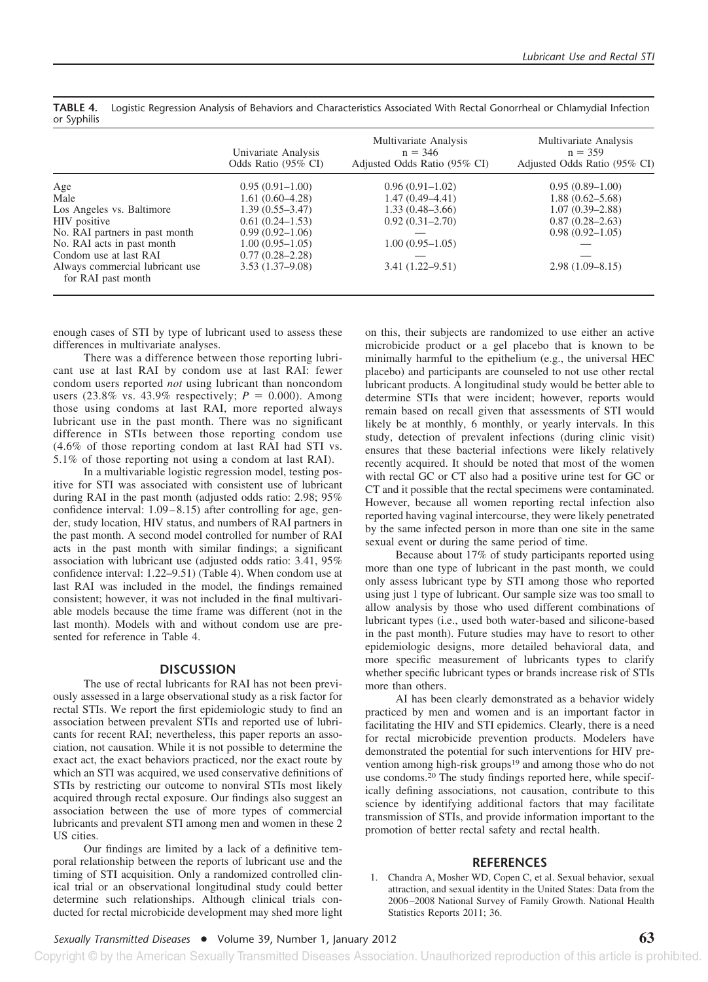|                                                       | Univariate Analysis<br>Odds Ratio (95% CI) | Multivariate Analysis<br>$n = 346$<br>Adjusted Odds Ratio (95% CI) | Multivariate Analysis<br>$n = 359$<br>Adjusted Odds Ratio (95% CI) |
|-------------------------------------------------------|--------------------------------------------|--------------------------------------------------------------------|--------------------------------------------------------------------|
| Age                                                   | $0.95(0.91-1.00)$                          | $0.96(0.91-1.02)$                                                  | $0.95(0.89-1.00)$                                                  |
| Male                                                  | $1.61(0.60-4.28)$                          | $1.47(0.49-4.41)$                                                  | $1.88(0.62 - 5.68)$                                                |
| Los Angeles vs. Baltimore                             | $1.39(0.55 - 3.47)$                        | $1.33(0.48-3.66)$                                                  | $1.07(0.39 - 2.88)$                                                |
| HIV positive                                          | $0.61(0.24 - 1.53)$                        | $0.92(0.31 - 2.70)$                                                | $0.87(0.28 - 2.63)$                                                |
| No. RAI partners in past month                        | $0.99(0.92 - 1.06)$                        |                                                                    | $0.98(0.92 - 1.05)$                                                |
| No. RAI acts in past month                            | $1.00(0.95-1.05)$                          | $1.00(0.95 - 1.05)$                                                |                                                                    |
| Condom use at last RAI                                | $0.77(0.28 - 2.28)$                        |                                                                    |                                                                    |
| Always commercial lubricant use<br>for RAI past month | $3.53(1.37-9.08)$                          | $3.41(1.22 - 9.51)$                                                | $2.98(1.09 - 8.15)$                                                |

**TABLE 4.** Logistic Regression Analysis of Behaviors and Characteristics Associated With Rectal Gonorrheal or Chlamydial Infection or Syphilis

enough cases of STI by type of lubricant used to assess these differences in multivariate analyses.

There was a difference between those reporting lubricant use at last RAI by condom use at last RAI: fewer condom users reported *not* using lubricant than noncondom users (23.8% vs. 43.9% respectively;  $P = 0.000$ ). Among those using condoms at last RAI, more reported always lubricant use in the past month. There was no significant difference in STIs between those reporting condom use (4.6% of those reporting condom at last RAI had STI vs. 5.1% of those reporting not using a condom at last RAI).

In a multivariable logistic regression model, testing positive for STI was associated with consistent use of lubricant during RAI in the past month (adjusted odds ratio: 2.98; 95% confidence interval:  $1.09 - 8.15$ ) after controlling for age, gender, study location, HIV status, and numbers of RAI partners in the past month. A second model controlled for number of RAI acts in the past month with similar findings; a significant association with lubricant use (adjusted odds ratio: 3.41, 95% confidence interval: 1.22–9.51) (Table 4). When condom use at last RAI was included in the model, the findings remained consistent; however, it was not included in the final multivariable models because the time frame was different (not in the last month). Models with and without condom use are presented for reference in Table 4.

## **DISCUSSION**

The use of rectal lubricants for RAI has not been previously assessed in a large observational study as a risk factor for rectal STIs. We report the first epidemiologic study to find an association between prevalent STIs and reported use of lubricants for recent RAI; nevertheless, this paper reports an association, not causation. While it is not possible to determine the exact act, the exact behaviors practiced, nor the exact route by which an STI was acquired, we used conservative definitions of STIs by restricting our outcome to nonviral STIs most likely acquired through rectal exposure. Our findings also suggest an association between the use of more types of commercial lubricants and prevalent STI among men and women in these 2 US cities.

Our findings are limited by a lack of a definitive temporal relationship between the reports of lubricant use and the timing of STI acquisition. Only a randomized controlled clinical trial or an observational longitudinal study could better determine such relationships. Although clinical trials conducted for rectal microbicide development may shed more light on this, their subjects are randomized to use either an active microbicide product or a gel placebo that is known to be minimally harmful to the epithelium (e.g., the universal HEC placebo) and participants are counseled to not use other rectal lubricant products. A longitudinal study would be better able to determine STIs that were incident; however, reports would remain based on recall given that assessments of STI would likely be at monthly, 6 monthly, or yearly intervals. In this study, detection of prevalent infections (during clinic visit) ensures that these bacterial infections were likely relatively recently acquired. It should be noted that most of the women with rectal GC or CT also had a positive urine test for GC or CT and it possible that the rectal specimens were contaminated. However, because all women reporting rectal infection also reported having vaginal intercourse, they were likely penetrated by the same infected person in more than one site in the same sexual event or during the same period of time.

Because about 17% of study participants reported using more than one type of lubricant in the past month, we could only assess lubricant type by STI among those who reported using just 1 type of lubricant. Our sample size was too small to allow analysis by those who used different combinations of lubricant types (i.e., used both water-based and silicone-based in the past month). Future studies may have to resort to other epidemiologic designs, more detailed behavioral data, and more specific measurement of lubricants types to clarify whether specific lubricant types or brands increase risk of STIs more than others.

AI has been clearly demonstrated as a behavior widely practiced by men and women and is an important factor in facilitating the HIV and STI epidemics. Clearly, there is a need for rectal microbicide prevention products. Modelers have demonstrated the potential for such interventions for HIV prevention among high-risk groups<sup>19</sup> and among those who do not use condoms.20 The study findings reported here, while specifically defining associations, not causation, contribute to this science by identifying additional factors that may facilitate transmission of STIs, and provide information important to the promotion of better rectal safety and rectal health.

#### **REFERENCES**

1. Chandra A, Mosher WD, Copen C, et al. Sexual behavior, sexual attraction, and sexual identity in the United States: Data from the 2006 –2008 National Survey of Family Growth. National Health Statistics Reports 2011; 36.

Copyright © by the American Sexually Transmitted Diseases Association. Unauthorized reproduction of this article is prohibited.